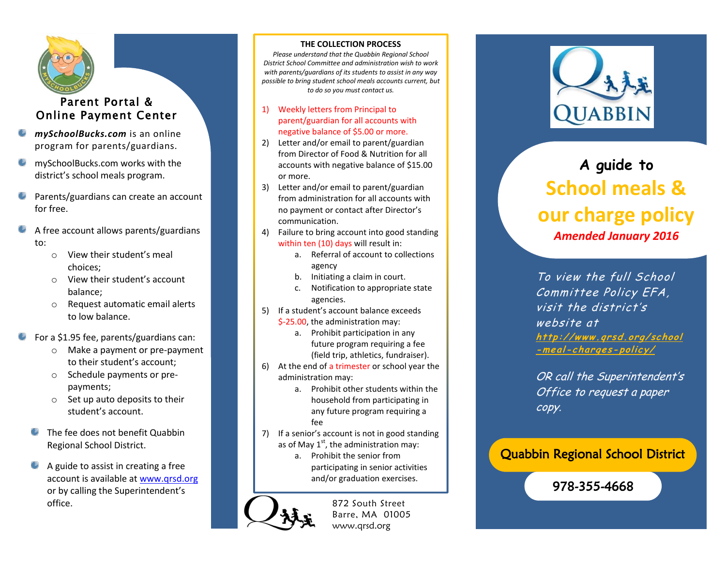

# Parent Portal & Online Payment Center

- *mySchoolBucks.com* is an online program for parents/guardians.
- mySchoolBucks.com works with the district's school meals program.
- Parents/guardians can create an account for free.
- A free account allows parents/guardians to:
	- o View their student's meal choices;
	- o View their student's account balance;
	- o Request automatic email alerts to low balance.
- For a \$1.95 fee, parents/guardians can:
	- o Make a payment or pre-payment to their student's account;
	- o Schedule payments or prepayments;
	- o Set up auto deposits to their student's account.
	- ٠ The fee does not benefit Quabbin Regional School District.
	- 0 A guide to assist in creating a free account is available at [www.qrsd.org](http://www.qrsd.org/) or by calling the Superintendent's office.

#### **THE COLLECTION PROCESS**

*Please understand that the Quabbin Regional School District School Committee and administration wish to work with parents/guardians of its students to assist in any way possible to bring student school meals accounts current, but to do so you must contact us.*

- 1) Weekly letters from Principal to parent/guardian for all accounts with negative balance of \$5.00 or more.
- 2) Letter and/or email to parent/guardian from Director of Food & Nutrition for all accounts with negative balance of \$15.00 or more.
- 3) Letter and/or email to parent/guardian from administration for all accounts with no payment or contact after Director's communication.
- 4) Failure to bring account into good standing within ten (10) days will result in:
	- a. Referral of account to collections agency
	- b. Initiating a claim in court.
	- c. Notification to appropriate state agencies.
- 5) If a student's account balance exceeds \$-25.00, the administration may:
	- a. Prohibit participation in any future program requiring a fee (field trip, athletics, fundraiser).
- 6) At the end of a trimester or school year the administration may:
	- a. Prohibit other students within the household from participating in any future program requiring a fee
- 7) If a senior's account is not in good standing as of May  $1<sup>st</sup>$ , the administration may:
	- a. Prohibit the senior from participating in senior activities and/or graduation exercises.



872 South Street Barre, MA 01005 www.qrsd.org



# **A guide to School meals & our charge policy** *Amended January 2016*

To view the full School Committee Policy EFA, visit the district's website at **http: //www [.qrsd.org](http://www.qrsd.org/school-meal-charges-policy/) /school [-meal-charges-poli](http://www.qrsd.org/school-meal-charges-policy/) <sup>c</sup> y/**

OR call the Superintendent's Office to request a paper copy.

# Quabbin Regional School District

978-355-4668